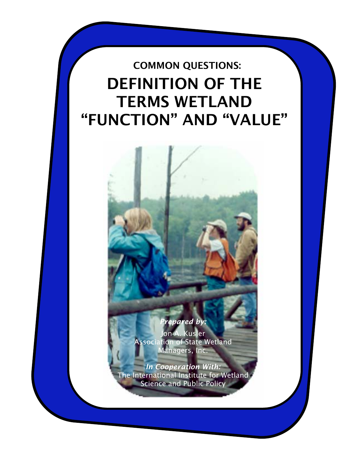# COMMON QUESTIONS: DEFINITION OF THE TERMS WETLAND "FUNCTION" AND "VALUE"



*Prepared by:*  Jon A. Kusler Association of State Wetland Managers, Inc.

*In Cooperation With:*  The International Institute for Wetland Science and Public Policy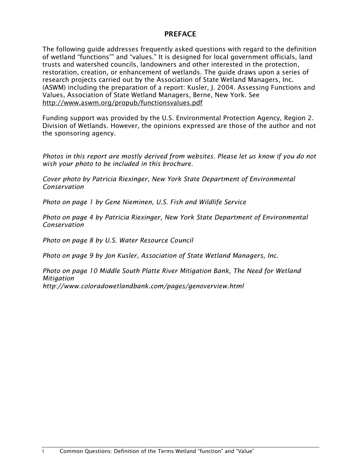# PREFACE

The following guide addresses frequently asked questions with regard to the definition of wetland "functions"" and "values." It is designed for local government officials, land trusts and watershed councils, landowners and other interested in the protection, restoration, creation, or enhancement of wetlands. The guide draws upon a series of research projects carried out by the Association of State Wetland Managers, Inc. (ASWM) including the preparation of a report: Kusler, J. 2004. Assessing Functions and Values, Association of State Wetland Managers, Berne, New York. See http://www.aswm.org/propub/functionsvalues.pdf

Funding support was provided by the U.S. Environmental Protection Agency, Region 2. Division of Wetlands. However, the opinions expressed are those of the author and not the sponsoring agency.

*Photos in this report are mostly derived from websites. Please let us know if you do not wish your photo to be included in this brochure.* 

*Cover photo by Patricia Riexinger, New York State Department of Environmental Conservation* 

*Photo on page 1 by Gene Nieminen, U.S. Fish and Wildlife Service* 

*Photo on page 4 by Patricia Riexinger, New York State Department of Environmental Conservation* 

*Photo on page 8 by U.S. Water Resource Council* 

*Photo on page 9 by Jon Kusler, Association of State Wetland Managers, Inc.* 

*Photo on page 10 Middle South Platte River Mitigation Bank, The Need for Wetland Mitigation http://www.coloradowetlandbank.com/pages/genoverview.html*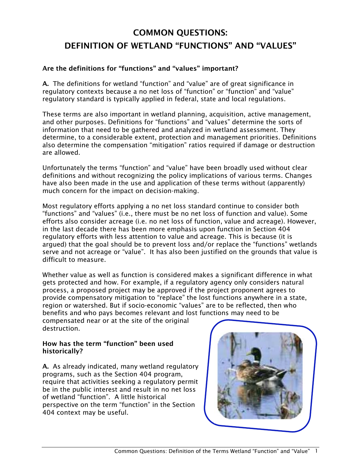# COMMON QUESTIONS: DEFINITION OF WETLAND "FUNCTIONS" AND "VALUES"

# Are the definitions for "functions" and "values" important?

A. The definitions for wetland "function" and "value" are of great significance in regulatory contexts because a no net loss of "function" or "function" and "value" regulatory standard is typically applied in federal, state and local regulations.

These terms are also important in wetland planning, acquisition, active management, and other purposes. Definitions for "functions" and "values" determine the sorts of information that need to be gathered and analyzed in wetland assessment. They determine, to a considerable extent, protection and management priorities. Definitions also determine the compensation "mitigation" ratios required if damage or destruction are allowed.

Unfortunately the terms "function" and "value" have been broadly used without clear definitions and without recognizing the policy implications of various terms. Changes have also been made in the use and application of these terms without (apparently) much concern for the impact on decision-making.

Most regulatory efforts applying a no net loss standard continue to consider both "functions" and "values" (i.e., there must be no net loss of function and value). Some efforts also consider acreage (i.e. no net loss of function, value and acreage). However, in the last decade there has been more emphasis upon function in Section 404 regulatory efforts with less attention to value and acreage. This is because (it is argued) that the goal should be to prevent loss and/or replace the "functions" wetlands serve and not acreage or "value". It has also been justified on the grounds that value is difficult to measure.

Whether value as well as function is considered makes a significant difference in what gets protected and how. For example, if a regulatory agency only considers natural process, a proposed project may be approved if the project proponent agrees to provide compensatory mitigation to "replace" the lost functions anywhere in a state, region or watershed. But if socio-economic "values" are to be reflected, then who benefits and who pays becomes relevant and lost functions may need to be

compensated near or at the site of the original destruction.

# How has the term "function" been used historically?

A. As already indicated, many wetland regulatory programs, such as the Section 404 program, require that activities seeking a regulatory permit be in the public interest and result in no net loss of wetland "function". A little historical perspective on the term "function" in the Section 404 context may be useful.

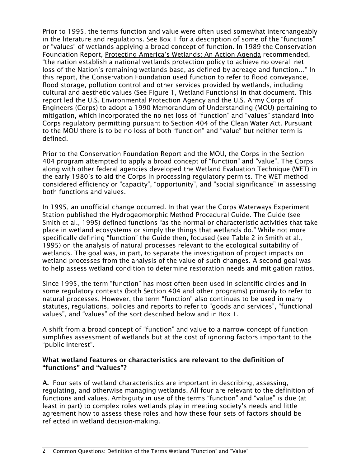Prior to 1995, the terms function and value were often used somewhat interchangeably in the literature and regulations. See Box 1 for a description of some of the "functions" or "values" of wetlands applying a broad concept of function. In 1989 the Conservation Foundation Report, Protecting America's Wetlands: An Action Agenda recommended, "the nation establish a national wetlands protection policy to achieve no overall net loss of the Nation's remaining wetlands base, as defined by acreage and function…" In this report, the Conservation Foundation used function to refer to flood conveyance, flood storage, pollution control and other services provided by wetlands, including cultural and aesthetic values (See Figure 1, Wetland Functions) in that document. This report led the U.S. Environmental Protection Agency and the U.S. Army Corps of Engineers (Corps) to adopt a 1990 Memorandum of Understanding (MOU) pertaining to mitigation, which incorporated the no net loss of "function" and "values" standard into Corps regulatory permitting pursuant to Section 404 of the Clean Water Act. Pursuant to the MOU there is to be no loss of both "function" and "value" but neither term is defined.

Prior to the Conservation Foundation Report and the MOU, the Corps in the Section 404 program attempted to apply a broad concept of "function" and "value". The Corps along with other federal agencies developed the Wetland Evaluation Technique (WET) in the early 1980's to aid the Corps in processing regulatory permits. The WET method considered efficiency or "capacity", "opportunity", and "social significance" in assessing both functions and values.

In 1995, an unofficial change occurred. In that year the Corps Waterways Experiment Station published the Hydrogeomorphic Method Procedural Guide. The Guide (see Smith et al., 1995) defined functions "as the normal or characteristic activities that take place in wetland ecosystems or simply the things that wetlands do." While not more specifically defining "function" the Guide then, focused (see Table 2 in Smith et al., 1995) on the analysis of natural processes relevant to the ecological suitability of wetlands. The goal was, in part, to separate the investigation of project impacts on wetland processes from the analysis of the value of such changes. A second goal was to help assess wetland condition to determine restoration needs and mitigation ratios.

Since 1995, the term "function" has most often been used in scientific circles and in some regulatory contexts (both Section 404 and other programs) primarily to refer to natural processes. However, the term "function" also continues to be used in many statutes, regulations, policies and reports to refer to "goods and services", "functional values", and "values" of the sort described below and in Box 1.

A shift from a broad concept of "function" and value to a narrow concept of function simplifies assessment of wetlands but at the cost of ignoring factors important to the "public interest".

# What wetland features or characteristics are relevant to the definition of "functions" and "values"?

A. Four sets of wetland characteristics are important in describing, assessing, regulating, and otherwise managing wetlands. All four are relevant to the definition of functions and values. Ambiguity in use of the terms "function" and "value" is due (at least in part) to complex roles wetlands play in meeting society's needs and little agreement how to assess these roles and how these four sets of factors should be reflected in wetland decision-making.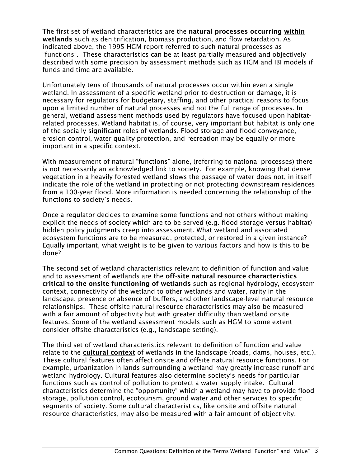The first set of wetland characteristics are the natural processes occurring within wetlands such as denitrification, biomass production, and flow retardation. As indicated above, the 1995 HGM report referred to such natural processes as "functions". These characteristics can be at least partially measured and objectively described with some precision by assessment methods such as HGM and IBI models if funds and time are available.

Unfortunately tens of thousands of natural processes occur within even a single wetland. In assessment of a specific wetland prior to destruction or damage, it is necessary for regulators for budgetary, staffing, and other practical reasons to focus upon a limited number of natural processes and not the full range of processes. In general, wetland assessment methods used by regulators have focused upon habitatrelated processes. Wetland habitat is, of course, very important but habitat is only one of the socially significant roles of wetlands. Flood storage and flood conveyance, erosion control, water quality protection, and recreation may be equally or more important in a specific context.

With measurement of natural "functions" alone, (referring to national processes) there is not necessarily an acknowledged link to society. For example, knowing that dense vegetation in a heavily forested wetland slows the passage of water does not, in itself indicate the role of the wetland in protecting or not protecting downstream residences from a 100-year flood. More information is needed concerning the relationship of the functions to society's needs.

Once a regulator decides to examine some functions and not others without making explicit the needs of society which are to be served (e.g. flood storage versus habitat) hidden policy judgments creep into assessment. What wetland and associated ecosystem functions are to be measured, protected, or restored in a given instance? Equally important, what weight is to be given to various factors and how is this to be done?

The second set of wetland characteristics relevant to definition of function and value and to assessment of wetlands are the off-site natural resource characteristics critical to the onsite functioning of wetlands such as regional hydrology, ecosystem context, connectivity of the wetland to other wetlands and water, rarity in the landscape, presence or absence of buffers, and other landscape-level natural resource relationships. These offsite natural resource characteristics may also be measured with a fair amount of objectivity but with greater difficulty than wetland onsite features. Some of the wetland assessment models such as HGM to some extent consider offsite characteristics (e.g., landscape setting).

The third set of wetland characteristics relevant to definition of function and value relate to the cultural context of wetlands in the landscape (roads, dams, houses, etc.). These cultural features often affect onsite and offsite natural resource functions. For example, urbanization in lands surrounding a wetland may greatly increase runoff and wetland hydrology. Cultural features also determine society's needs for particular functions such as control of pollution to protect a water supply intake. Cultural characteristics determine the "opportunity" which a wetland may have to provide flood storage, pollution control, ecotourism, ground water and other services to specific segments of society. Some cultural characteristics, like onsite and offsite natural resource characteristics, may also be measured with a fair amount of objectivity.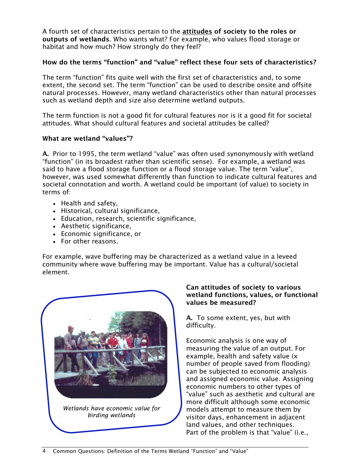A fourth set of characteristics pertain to the attitudes of society to the roles or outputs of wetlands. Who wants what? For example, who values flood storage or habitat and how much? How strongly do they feel?

# How do the terms "function" and "value" reflect these four sets of characteristics?

The term "function" fits quite well with the first set of characteristics and, to some extent, the second set. The term "function" can be used to describe onsite and offsite natural processes. However, many wetland characteristics other than natural processes such as wetland depth and size also determine wetland outputs.

The term function is not a good fit for cultural features nor is it a good fit for societal attitudes. What should cultural features and societal attitudes be called?

#### What are wetland "values"?

A. Prior to 1995, the term wetland "value" was often used synonymously with wetland "function" (in its broadest rather than scientific sense). For example, a wetland was said to have a flood storage function or a flood storage value. The term "value", however, was used somewhat differently than function to indicate cultural features and societal connotation and worth. A wetland could be important (of value) to society in terms of:

- Health and safety,
- Historical, cultural significance,
- Education, research, scientific significance,
- Aesthetic significance,
- Economic significance, or
- For other reasons.

For example, wave buffering may be characterized as a wetland value in a leveed community where wave buffering may be important. Value has a cultural/societal element.



#### Can attitudes of society to various wetland functions, values, or functional values be measured?

A. To some extent, yes, but with difficulty.

Economic analysis is one way of measuring the value of an output. For example, health and safety value (x number of people saved from flooding) can be subjected to economic analysis and assigned economic value. Assigning economic numbers to other types of "value" such as aesthetic and cultural are more difficult although some economic models attempt to measure them by visitor days, enhancement in adjacent land values, and other techniques. Part of the problem is that "value" (i.e.,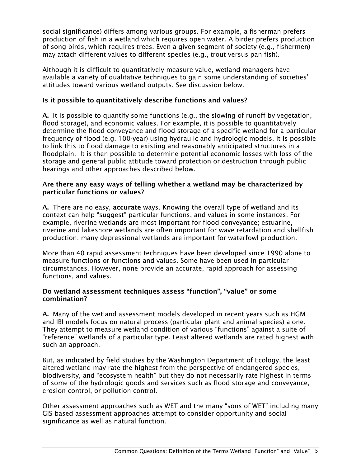social significance) differs among various groups. For example, a fisherman prefers production of fish in a wetland which requires open water. A birder prefers production of song birds, which requires trees. Even a given segment of society (e.g., fishermen) may attach different values to different species (e.g., trout versus pan fish).

Although it is difficult to quantitatively measure value, wetland managers have available a variety of qualitative techniques to gain some understanding of societies' attitudes toward various wetland outputs. See discussion below.

#### Is it possible to quantitatively describe functions and values?

A. It is possible to quantify some functions (e.g., the slowing of runoff by vegetation, flood storage), and economic values. For example, it is possible to quantitatively determine the flood conveyance and flood storage of a specific wetland for a particular frequency of flood (e.g. 100-year) using hydraulic and hydrologic models. It is possible to link this to flood damage to existing and reasonably anticipated structures in a floodplain. It is then possible to determine potential economic losses with loss of the storage and general public attitude toward protection or destruction through public hearings and other approaches described below.

#### Are there any easy ways of telling whether a wetland may be characterized by particular functions or values?

A. There are no easy, accurate ways. Knowing the overall type of wetland and its context can help "suggest" particular functions, and values in some instances. For example, riverine wetlands are most important for flood conveyance; estuarine, riverine and lakeshore wetlands are often important for wave retardation and shellfish production; many depressional wetlands are important for waterfowl production.

More than 40 rapid assessment techniques have been developed since 1990 alone to measure functions or functions and values. Some have been used in particular circumstances. However, none provide an accurate, rapid approach for assessing functions, and values.

#### Do wetland assessment techniques assess "function", "value" or some combination?

A. Many of the wetland assessment models developed in recent years such as HGM and IBI models focus on natural process (particular plant and animal species) alone. They attempt to measure wetland condition of various "functions" against a suite of "reference" wetlands of a particular type. Least altered wetlands are rated highest with such an approach.

But, as indicated by field studies by the Washington Department of Ecology, the least altered wetland may rate the highest from the perspective of endangered species, biodiversity, and "ecosystem health" but they do not necessarily rate highest in terms of some of the hydrologic goods and services such as flood storage and conveyance, erosion control, or pollution control.

Other assessment approaches such as WET and the many "sons of WET" including many GIS based assessment approaches attempt to consider opportunity and social significance as well as natural function.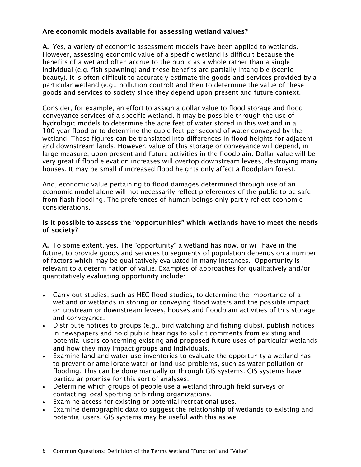# Are economic models available for assessing wetland values?

A. Yes, a variety of economic assessment models have been applied to wetlands. However, assessing economic value of a specific wetland is difficult because the benefits of a wetland often accrue to the public as a whole rather than a single individual (e.g. fish spawning) and these benefits are partially intangible (scenic beauty). It is often difficult to accurately estimate the goods and services provided by a particular wetland (e.g., pollution control) and then to determine the value of these goods and services to society since they depend upon present and future context.

Consider, for example, an effort to assign a dollar value to flood storage and flood conveyance services of a specific wetland. It may be possible through the use of hydrologic models to determine the acre feet of water stored in this wetland in a 100-year flood or to determine the cubic feet per second of water conveyed by the wetland. These figures can be translated into differences in flood heights for adjacent and downstream lands. However, value of this storage or conveyance will depend, in large measure, upon present and future activities in the floodplain. Dollar value will be very great if flood elevation increases will overtop downstream levees, destroying many houses. It may be small if increased flood heights only affect a floodplain forest.

And, economic value pertaining to flood damages determined through use of an economic model alone will not necessarily reflect preferences of the public to be safe from flash flooding. The preferences of human beings only partly reflect economic considerations.

# Is it possible to assess the "opportunities" which wetlands have to meet the needs of society?

A. To some extent, yes. The "opportunity" a wetland has now, or will have in the future, to provide goods and services to segments of population depends on a number of factors which may be qualitatively evaluated in many instances. Opportunity is relevant to a determination of value. Examples of approaches for qualitatively and/or quantitatively evaluating opportunity include:

- Carry out studies, such as HEC flood studies, to determine the importance of a wetland or wetlands in storing or conveying flood waters and the possible impact on upstream or downstream levees, houses and floodplain activities of this storage and conveyance.
- Distribute notices to groups (e.g., bird watching and fishing clubs), publish notices in newspapers and hold public hearings to solicit comments from existing and potential users concerning existing and proposed future uses of particular wetlands and how they may impact groups and individuals.
- Examine land and water use inventories to evaluate the opportunity a wetland has to prevent or ameliorate water or land use problems, such as water pollution or flooding. This can be done manually or through GIS systems. GIS systems have particular promise for this sort of analyses.
- Determine which groups of people use a wetland through field surveys or contacting local sporting or birding organizations.
- Examine access for existing or potential recreational uses.
- Examine demographic data to suggest the relationship of wetlands to existing and potential users. GIS systems may be useful with this as well.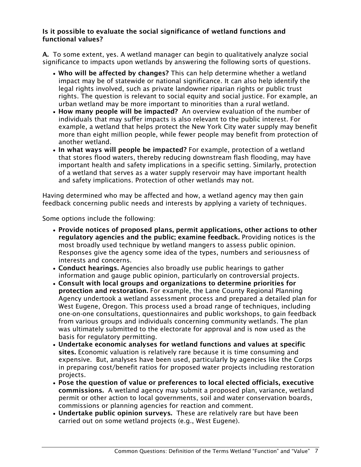#### Is it possible to evaluate the social significance of wetland functions and functional values?

A. To some extent, yes. A wetland manager can begin to qualitatively analyze social significance to impacts upon wetlands by answering the following sorts of questions.

- Who will be affected by changes? This can help determine whether a wetland impact may be of statewide or national significance. It can also help identify the legal rights involved, such as private landowner riparian rights or public trust rights. The question is relevant to social equity and social justice. For example, an urban wetland may be more important to minorities than a rural wetland.
- How many people will be impacted? An overview evaluation of the number of individuals that may suffer impacts is also relevant to the public interest. For example, a wetland that helps protect the New York City water supply may benefit more than eight million people, while fewer people may benefit from protection of another wetland.
- In what ways will people be impacted? For example, protection of a wetland that stores flood waters, thereby reducing downstream flash flooding, may have important health and safety implications in a specific setting. Similarly, protection of a wetland that serves as a water supply reservoir may have important health and safety implications. Protection of other wetlands may not.

Having determined who may be affected and how, a wetland agency may then gain feedback concerning public needs and interests by applying a variety of techniques.

Some options include the following:

- Provide notices of proposed plans, permit applications, other actions to other regulatory agencies and the public; examine feedback. Providing notices is the most broadly used technique by wetland mangers to assess public opinion. Responses give the agency some idea of the types, numbers and seriousness of interests and concerns.
- Conduct hearings. Agencies also broadly use public hearings to gather information and gauge public opinion, particularly on controversial projects.
- Consult with local groups and organizations to determine priorities for protection and restoration. For example, the Lane County Regional Planning Agency undertook a wetland assessment process and prepared a detailed plan for West Eugene, Oregon. This process used a broad range of techniques, including one-on-one consultations, questionnaires and public workshops, to gain feedback from various groups and individuals concerning community wetlands. The plan was ultimately submitted to the electorate for approval and is now used as the basis for regulatory permitting.
- Undertake economic analyses for wetland functions and values at specific sites. Economic valuation is relatively rare because it is time consuming and expensive. But, analyses have been used, particularly by agencies like the Corps in preparing cost/benefit ratios for proposed water projects including restoration projects.
- Pose the question of value or preferences to local elected officials, executive commissions. A wetland agency may submit a proposed plan, variance, wetland permit or other action to local governments, soil and water conservation boards, commissions or planning agencies for reaction and comment.
- Undertake public opinion surveys. These are relatively rare but have been carried out on some wetland projects (e.g., West Eugene).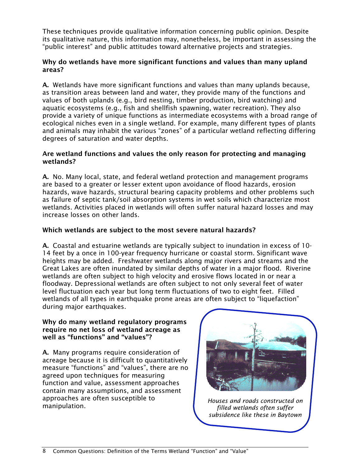These techniques provide qualitative information concerning public opinion. Despite its qualitative nature, this information may, nonetheless, be important in assessing the "public interest" and public attitudes toward alternative projects and strategies.

# Why do wetlands have more significant functions and values than many upland areas?

A. Wetlands have more significant functions and values than many uplands because, as transition areas between land and water, they provide many of the functions and values of both uplands (e.g., bird nesting, timber production, bird watching) and aquatic ecosystems (e.g., fish and shellfish spawning, water recreation). They also provide a variety of unique functions as intermediate ecosystems with a broad range of ecological niches even in a single wetland. For example, many different types of plants and animals may inhabit the various "zones" of a particular wetland reflecting differing degrees of saturation and water depths.

#### Are wetland functions and values the only reason for protecting and managing wetlands?

A. No. Many local, state, and federal wetland protection and management programs are based to a greater or lesser extent upon avoidance of flood hazards, erosion hazards, wave hazards, structural bearing capacity problems and other problems such as failure of septic tank/soil absorption systems in wet soils which characterize most wetlands. Activities placed in wetlands will often suffer natural hazard losses and may increase losses on other lands.

# Which wetlands are subject to the most severe natural hazards?

A. Coastal and estuarine wetlands are typically subject to inundation in excess of 10- 14 feet by a once in 100-year frequency hurricane or coastal storm. Significant wave heights may be added. Freshwater wetlands along major rivers and streams and the Great Lakes are often inundated by similar depths of water in a major flood. Riverine wetlands are often subject to high velocity and erosive flows located in or near a floodway. Depressional wetlands are often subject to not only several feet of water level fluctuation each year but long term fluctuations of two to eight feet. Filled wetlands of all types in earthquake prone areas are often subject to "liquefaction" during major earthquakes.

#### Why do many wetland regulatory programs require no net loss of wetland acreage as well as "functions" and "values"?

A. Many programs require consideration of acreage because it is difficult to quantitatively measure "functions" and "values", there are no agreed upon techniques for measuring function and value, assessment approaches contain many assumptions, and assessment approaches are often susceptible to manipulation.



*Houses and roads constructed on filled wetlands often suffer subsidence like these in Baytown*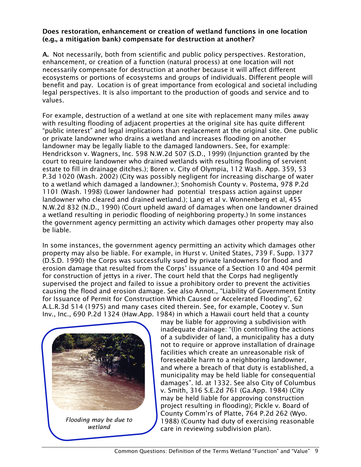#### Does restoration, enhancement or creation of wetland functions in one location (e.g., a mitigation bank) compensate for destruction at another?

A. Not necessarily, both from scientific and public policy perspectives. Restoration, enhancement, or creation of a function (natural process) at one location will not necessarily compensate for destruction at another because it will affect different ecosystems or portions of ecosystems and groups of individuals. Different people will benefit and pay. Location is of great importance from ecological and societal including legal perspectives. It is also important to the production of goods and service and to values.

For example, destruction of a wetland at one site with replacement many miles away with resulting flooding of adjacent properties at the original site has quite different "public interest" and legal implications than replacement at the original site. One public or private landowner who drains a wetland and increases flooding on another landowner may be legally liable to the damaged landowners. See, for example: Hendrickson v. Wagners, Inc. 598 N.W.2d 507 (S.D., 1999) (Injunction granted by the court to require landowner who drained wetlands with resulting flooding of servient estate to fill in drainage ditches.); Boren v. City of Olympia, 112 Wash. App. 359, 53 P.3d 1020 (Wash. 2002) (City was possibly negligent for increasing discharge of water to a wetland which damaged a landowner.); Snohomish County v. Postema, 978 P.2d 1101 (Wash. 1998) (Lower landowner had potential trespass action against upper landowner who cleared and drained wetland.); Lang et al v. Wonnenberg et al, 455 N.W.2d 832 (N.D., 1990) (Court upheld award of damages when one landowner drained a wetland resulting in periodic flooding of neighboring property.) In some instances the government agency permitting an activity which damages other property may also be liable.

In some instances, the government agency permitting an activity which damages other property may also be liable. For example, in Hurst v. United States, 739 F. Supp. 1377 (D.S.D. 1990) the Corps was successfully sued by private landowners for flood and erosion damage that resulted from the Corps' issuance of a Section 10 and 404 permit for construction of jettys in a river. The court held that the Corps had negligently supervised the project and failed to issue a prohibitory order to prevent the activities causing the flood and erosion damage. See also Annot., "Liability of Government Entity for Issuance of Permit for Construction Which Caused or Accelerated Flooding", 62 A.L.R.3d 514 (1975) and many cases cited therein. See, for example, Cootey v. Sun Inv., Inc., 690 P.2d 1324 (Haw.App. 1984) in which a Hawaii court held that a county



*Flooding may be due to wetland*

may be liable for approving a subdivision with inadequate drainage: "(I)n controlling the actions of a subdivider of land, a municipality has a duty not to require or approve installation of drainage facilities which create an unreasonable risk of foreseeable harm to a neighboring landowner, and where a breach of that duty is established, a municipality may be held liable for consequential damages". Id. at 1332. See also City of Columbus v. Smith, 316 S.E.2d 761 (Ga.App. 1984) (City may be held liable for approving construction project resulting in flooding); Pickle v. Board of County Comm'rs of Platte, 764 P.2d 262 (Wyo. 1988) (County had duty of exercising reasonable care in reviewing subdivision plan).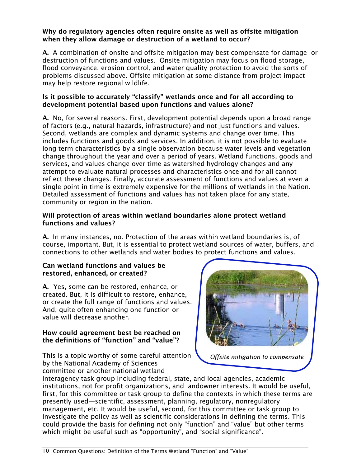#### Why do regulatory agencies often require onsite as well as offsite mitigation when they allow damage or destruction of a wetland to occur?

A. A combination of onsite and offsite mitigation may best compensate for damage or destruction of functions and values. Onsite mitigation may focus on flood storage, flood conveyance, erosion control, and water quality protection to avoid the sorts of problems discussed above. Offsite mitigation at some distance from project impact may help restore regional wildlife.

# Is it possible to accurately "classify" wetlands once and for all according to development potential based upon functions and values alone?

A. No, for several reasons. First, development potential depends upon a broad range of factors (e.g., natural hazards, infrastructure) and not just functions and values. Second, wetlands are complex and dynamic systems and change over time. This includes functions and goods and services. In addition, it is not possible to evaluate long term characteristics by a single observation because water levels and vegetation change throughout the year and over a period of years. Wetland functions, goods and services, and values change over time as watershed hydrology changes and any attempt to evaluate natural processes and characteristics once and for all cannot reflect these changes. Finally, accurate assessment of functions and values at even a single point in time is extremely expensive for the millions of wetlands in the Nation. Detailed assessment of functions and values has not taken place for any state, community or region in the nation.

# Will protection of areas within wetland boundaries alone protect wetland functions and values?

A. In many instances, no. Protection of the areas within wetland boundaries is, of course, important. But, it is essential to protect wetland sources of water, buffers, and connections to other wetlands and water bodies to protect functions and values.

#### Can wetland functions and values be restored, enhanced, or created?

A. Yes, some can be restored, enhance, or created. But, it is difficult to restore, enhance, or create the full range of functions and values. And, quite often enhancing one function or value will decrease another.

# How could agreement best be reached on the definitions of "function" and "value"?

This is a topic worthy of some careful attention by the National Academy of Sciences committee or another national wetland



*Offsite mitigation to compensate*

interagency task group including federal, state, and local agencies, academic institutions, not for profit organizations, and landowner interests. It would be useful, first, for this committee or task group to define the contexts in which these terms are presently used—scientific, assessment, planning, regulatory, nonregulatory management, etc. It would be useful, second, for this committee or task group to investigate the policy as well as scientific considerations in defining the terms. This could provide the basis for defining not only "function" and "value" but other terms which might be useful such as "opportunity", and "social significance".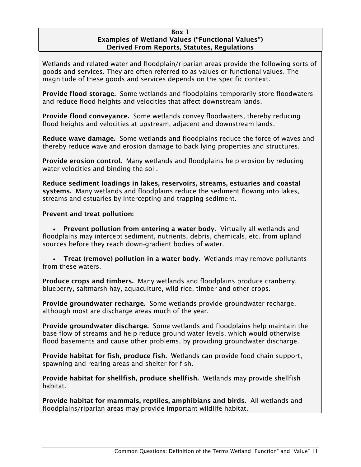#### Box 1 Examples of Wetland Values ("Functional Values") Derived From Reports, Statutes, Regulations

Wetlands and related water and floodplain/riparian areas provide the following sorts of goods and services. They are often referred to as values or functional values. The magnitude of these goods and services depends on the specific context.

Provide flood storage. Some wetlands and floodplains temporarily store floodwaters and reduce flood heights and velocities that affect downstream lands.

Provide flood conveyance. Some wetlands convey floodwaters, thereby reducing flood heights and velocities at upstream, adjacent and downstream lands.

Reduce wave damage. Some wetlands and floodplains reduce the force of waves and thereby reduce wave and erosion damage to back lying properties and structures.

Provide erosion control. Many wetlands and floodplains help erosion by reducing water velocities and binding the soil.

Reduce sediment loadings in lakes, reservoirs, streams, estuaries and coastal systems. Many wetlands and floodplains reduce the sediment flowing into lakes, streams and estuaries by intercepting and trapping sediment.

Prevent and treat pollution:

• Prevent pollution from entering a water body. Virtually all wetlands and floodplains may intercept sediment, nutrients, debris, chemicals, etc. from upland sources before they reach down-gradient bodies of water.

• Treat (remove) pollution in a water body. Wetlands may remove pollutants from these waters.

Produce crops and timbers. Many wetlands and floodplains produce cranberry, blueberry, saltmarsh hay, aquaculture, wild rice, timber and other crops.

Provide groundwater recharge. Some wetlands provide groundwater recharge, although most are discharge areas much of the year.

Provide groundwater discharge. Some wetlands and floodplains help maintain the base flow of streams and help reduce ground water levels, which would otherwise flood basements and cause other problems, by providing groundwater discharge.

Provide habitat for fish, produce fish. Wetlands can provide food chain support, spawning and rearing areas and shelter for fish.

Provide habitat for shellfish, produce shellfish. Wetlands may provide shellfish habitat.

Provide habitat for mammals, reptiles, amphibians and birds. All wetlands and floodplains/riparian areas may provide important wildlife habitat.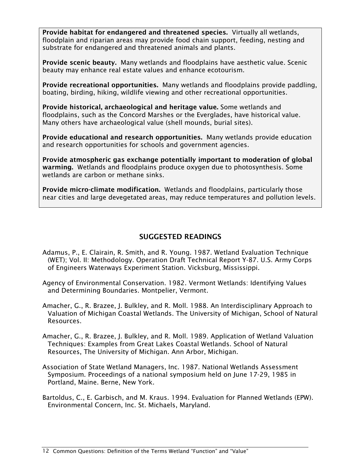Provide habitat for endangered and threatened species. Virtually all wetlands, floodplain and riparian areas may provide food chain support, feeding, nesting and substrate for endangered and threatened animals and plants.

Provide scenic beauty. Many wetlands and floodplains have aesthetic value. Scenic beauty may enhance real estate values and enhance ecotourism.

Provide recreational opportunities. Many wetlands and floodplains provide paddling, boating, birding, hiking, wildlife viewing and other recreational opportunities.

Provide historical, archaeological and heritage value. Some wetlands and floodplains, such as the Concord Marshes or the Everglades, have historical value. Many others have archaeological value (shell mounds, burial sites).

Provide educational and research opportunities. Many wetlands provide education and research opportunities for schools and government agencies.

Provide atmospheric gas exchange potentially important to moderation of global warming. Wetlands and floodplains produce oxygen due to photosynthesis. Some wetlands are carbon or methane sinks.

Provide micro-climate modification. Wetlands and floodplains, particularly those near cities and large devegetated areas, may reduce temperatures and pollution levels.

# SUGGESTED READINGS

- Adamus, P., E. Clairain, R. Smith, and R. Young. 1987. Wetland Evaluation Technique (WET); Vol. II: Methodology. Operation Draft Technical Report Y-87. U.S. Army Corps of Engineers Waterways Experiment Station. Vicksburg, Mississippi.
- Agency of Environmental Conservation. 1982. Vermont Wetlands: Identifying Values and Determining Boundaries. Montpelier, Vermont.
- Amacher, G., R. Brazee, J. Bulkley, and R. Moll. 1988. An Interdisciplinary Approach to Valuation of Michigan Coastal Wetlands. The University of Michigan, School of Natural Resources.
- Amacher, G., R. Brazee, J. Bulkley, and R. Moll. 1989. Application of Wetland Valuation Techniques: Examples from Great Lakes Coastal Wetlands. School of Natural Resources, The University of Michigan. Ann Arbor, Michigan.
- Association of State Wetland Managers, Inc. 1987. National Wetlands Assessment Symposium. Proceedings of a national symposium held on June 17-29, 1985 in Portland, Maine. Berne, New York.
- Bartoldus, C., E. Garbisch, and M. Kraus. 1994. Evaluation for Planned Wetlands (EPW). Environmental Concern, Inc. St. Michaels, Maryland.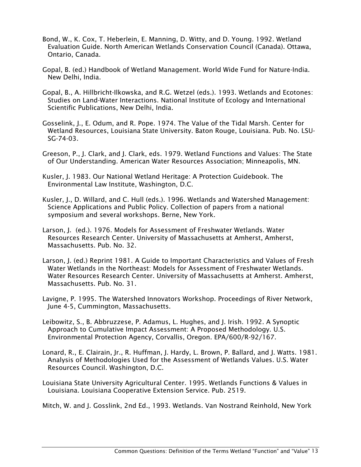- Bond, W., K. Cox, T. Heberlein, E. Manning, D. Witty, and D. Young. 1992. Wetland Evaluation Guide. North American Wetlands Conservation Council (Canada). Ottawa, Ontario, Canada.
- Gopal, B. (ed.) Handbook of Wetland Management. World Wide Fund for Nature-India. New Delhi, India.
- Gopal, B., A. Hillbricht-Ilkowska, and R.G. Wetzel (eds.). 1993. Wetlands and Ecotones: Studies on Land-Water Interactions. National Institute of Ecology and International Scientific Publications, New Delhi, India.
- Gosselink, J., E. Odum, and R. Pope. 1974. The Value of the Tidal Marsh. Center for Wetland Resources, Louisiana State University. Baton Rouge, Louisiana. Pub. No. LSU-SG-74-03.
- Greeson, P., J. Clark, and J. Clark, eds. 1979. Wetland Functions and Values: The State of Our Understanding. American Water Resources Association; Minneapolis, MN.
- Kusler, J. 1983. Our National Wetland Heritage: A Protection Guidebook. The Environmental Law Institute, Washington, D.C.
- Kusler, J., D. Willard, and C. Hull (eds.). 1996. Wetlands and Watershed Management: Science Applications and Public Policy. Collection of papers from a national symposium and several workshops. Berne, New York.
- Larson, J. (ed.). 1976. Models for Assessment of Freshwater Wetlands. Water Resources Research Center. University of Massachusetts at Amherst, Amherst, Massachusetts. Pub. No. 32.
- Larson, J. (ed.) Reprint 1981. A Guide to Important Characteristics and Values of Fresh Water Wetlands in the Northeast: Models for Assessment of Freshwater Wetlands. Water Resources Research Center. University of Massachusetts at Amherst. Amherst, Massachusetts. Pub. No. 31.
- Lavigne, P. 1995. The Watershed Innovators Workshop. Proceedings of River Network, June 4-5, Cummington, Massachusetts.
- Leibowitz, S., B. Abbruzzese, P. Adamus, L. Hughes, and J. Irish. 1992. A Synoptic Approach to Cumulative Impact Assessment: A Proposed Methodology. U.S. Environmental Protection Agency, Corvallis, Oregon. EPA/600/R-92/167.
- Lonard, R., E. Clairain, Jr., R. Huffman, J. Hardy, L. Brown, P. Ballard, and J. Watts. 1981. Analysis of Methodologies Used for the Assessment of Wetlands Values. U.S. Water Resources Council. Washington, D.C.
- Louisiana State University Agricultural Center. 1995. Wetlands Functions & Values in Louisiana. Louisiana Cooperative Extension Service. Pub. 2519.

Mitch, W. and J. Gosslink, 2nd Ed., 1993. Wetlands. Van Nostrand Reinhold, New York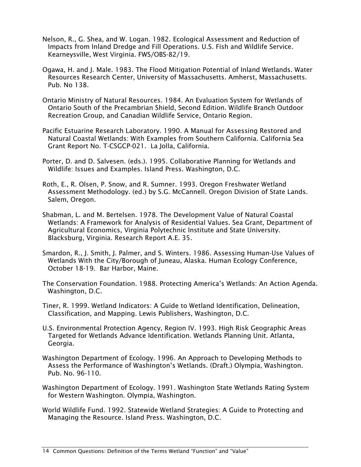- Nelson, R., G. Shea, and W. Logan. 1982. Ecological Assessment and Reduction of Impacts from Inland Dredge and Fill Operations. U.S. Fish and Wildlife Service. Kearneysville, West Virginia. FWS/OBS-82/19.
- Ogawa, H. and J. Male. 1983. The Flood Mitigation Potential of Inland Wetlands. Water Resources Research Center, University of Massachusetts. Amherst, Massachusetts. Pub. No 138.
- Ontario Ministry of Natural Resources. 1984. An Evaluation System for Wetlands of Ontario South of the Precambrian Shield, Second Edition. Wildlife Branch Outdoor Recreation Group, and Canadian Wildlife Service, Ontario Region.
- Pacific Estuarine Research Laboratory. 1990. A Manual for Assessing Restored and Natural Coastal Wetlands: With Examples from Southern California. California Sea Grant Report No. T-CSGCP-021. La Jolla, California.
- Porter, D. and D. Salvesen. (eds.). 1995. Collaborative Planning for Wetlands and Wildlife: Issues and Examples. Island Press. Washington, D.C.
- Roth, E., R. Olsen, P. Snow, and R. Sumner. 1993. Oregon Freshwater Wetland Assessment Methodology. (ed.) by S.G. McCannell. Oregon Division of State Lands. Salem, Oregon.
- Shabman, L. and M. Bertelsen. 1978. The Development Value of Natural Coastal Wetlands: A Framework for Analysis of Residential Values. Sea Grant, Department of Agricultural Economics, Virginia Polytechnic Institute and State University. Blacksburg, Virginia. Research Report A.E. 35.
- Smardon, R., J. Smith, J. Palmer, and S. Winters. 1986. Assessing Human-Use Values of Wetlands With the City/Borough of Juneau, Alaska. Human Ecology Conference, October 18-19. Bar Harbor, Maine.
- The Conservation Foundation. 1988. Protecting America's Wetlands: An Action Agenda. Washington, D.C.
- Tiner, R. 1999. Wetland Indicators: A Guide to Wetland Identification, Delineation, Classification, and Mapping. Lewis Publishers, Washington, D.C.
- U.S. Environmental Protection Agency, Region IV. 1993. High Risk Geographic Areas Targeted for Wetlands Advance Identification. Wetlands Planning Unit. Atlanta, Georgia.
- Washington Department of Ecology. 1996. An Approach to Developing Methods to Assess the Performance of Washington's Wetlands. (Draft.) Olympia, Washington. Pub. No. 96-110.
- Washington Department of Ecology. 1991. Washington State Wetlands Rating System for Western Washington. Olympia, Washington.
- World Wildlife Fund. 1992. Statewide Wetland Strategies: A Guide to Protecting and Managing the Resource. Island Press. Washington, D.C.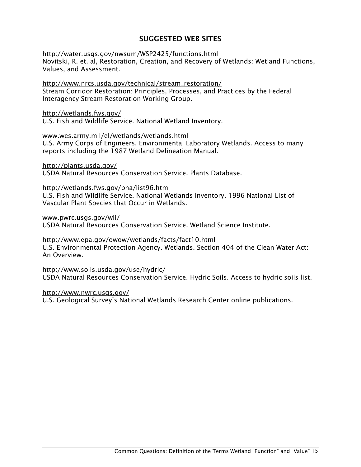# SUGGESTED WEB SITES

http://water.usgs.gov/nwsum/WSP2425/functions.html Novitski, R. et. al, Restoration, Creation, and Recovery of Wetlands: Wetland Functions, Values, and Assessment.

http://www.nrcs.usda.gov/technical/stream\_restoration/ Stream Corridor Restoration: Principles, Processes, and Practices by the Federal Interagency Stream Restoration Working Group.

#### http://wetlands.fws.gov/

U.S. Fish and Wildlife Service. National Wetland Inventory.

#### www.wes.army.mil/el/wetlands/wetlands.html

U.S. Army Corps of Engineers. Environmental Laboratory Wetlands. Access to many reports including the 1987 Wetland Delineation Manual.

http://plants.usda.gov/

USDA Natural Resources Conservation Service. Plants Database.

#### http://wetlands.fws.gov/bha/list96.html

U.S. Fish and Wildlife Service. National Wetlands Inventory. 1996 National List of Vascular Plant Species that Occur in Wetlands.

www.pwrc.usgs.gov/wli/

USDA Natural Resources Conservation Service. Wetland Science Institute.

#### http://www.epa.gov/owow/wetlands/facts/fact10.html

U.S. Environmental Protection Agency. Wetlands. Section 404 of the Clean Water Act: An Overview.

http://www.soils.usda.gov/use/hydric/ USDA Natural Resources Conservation Service. Hydric Soils. Access to hydric soils list.

#### http://www.nwrc.usgs.gov/

U.S. Geological Survey's National Wetlands Research Center online publications.